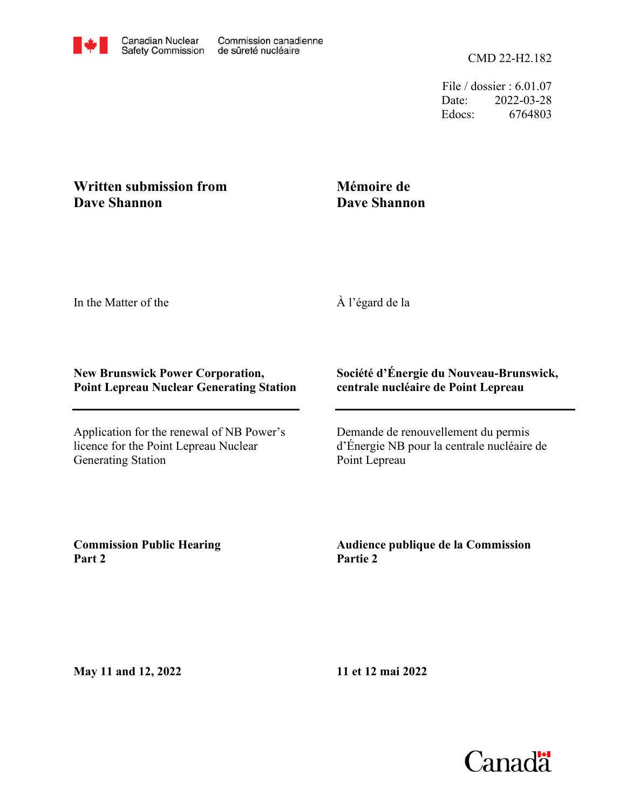File / dossier : 6.01.07 Date: 2022-03-28 Edocs: 6764803

## **Written submission from Dave Shannon**

# **Mémoire de Dave Shannon**

In the Matter of the

À l'égard de la

#### **New Brunswick Power Corporation, Point Lepreau Nuclear Generating Station**

Application for the renewal of NB Power's licence for the Point Lepreau Nuclear Generating Station

### **Société d'Énergie du Nouveau-Brunswick, centrale nucléaire de Point Lepreau**

Demande de renouvellement du permis d'Énergie NB pour la centrale nucléaire de Point Lepreau

**Commission Public Hearing Part 2**

**Audience publique de la Commission Partie 2**

**May 11 and 12, 2022**

**11 et 12 mai 2022**